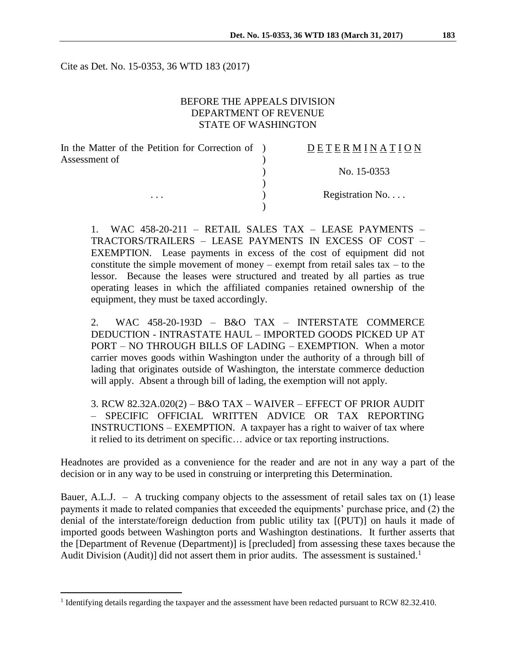Cite as Det. No. 15-0353, 36 WTD 183 (2017)

## BEFORE THE APPEALS DIVISION DEPARTMENT OF REVENUE STATE OF WASHINGTON

| In the Matter of the Petition for Correction of ) | <b>DETERMINATION</b> |
|---------------------------------------------------|----------------------|
| Assessment of                                     |                      |
|                                                   | No. 15-0353          |
| $\cdots$                                          | Registration No      |
|                                                   |                      |

1. WAC 458-20-211 – RETAIL SALES TAX – LEASE PAYMENTS – TRACTORS/TRAILERS – LEASE PAYMENTS IN EXCESS OF COST – EXEMPTION. Lease payments in excess of the cost of equipment did not constitute the simple movement of money – exempt from retail sales tax – to the lessor. Because the leases were structured and treated by all parties as true operating leases in which the affiliated companies retained ownership of the equipment, they must be taxed accordingly.

2. WAC 458-20-193D – B&O TAX – INTERSTATE COMMERCE DEDUCTION - INTRASTATE HAUL – IMPORTED GOODS PICKED UP AT PORT – NO THROUGH BILLS OF LADING – EXEMPTION. When a motor carrier moves goods within Washington under the authority of a through bill of lading that originates outside of Washington, the interstate commerce deduction will apply. Absent a through bill of lading, the exemption will not apply.

3. RCW 82.32A.020(2) – B&O TAX – WAIVER – EFFECT OF PRIOR AUDIT – SPECIFIC OFFICIAL WRITTEN ADVICE OR TAX REPORTING INSTRUCTIONS – EXEMPTION. A taxpayer has a right to waiver of tax where it relied to its detriment on specific… advice or tax reporting instructions.

Headnotes are provided as a convenience for the reader and are not in any way a part of the decision or in any way to be used in construing or interpreting this Determination.

Bauer, A.L.J. – A trucking company objects to the assessment of retail sales tax on (1) lease payments it made to related companies that exceeded the equipments' purchase price, and (2) the denial of the interstate/foreign deduction from public utility tax [(PUT)] on hauls it made of imported goods between Washington ports and Washington destinations. It further asserts that the [Department of Revenue (Department)] is [precluded] from assessing these taxes because the Audit Division (Audit)] did not assert them in prior audits. The assessment is sustained.<sup>1</sup>

<sup>&</sup>lt;sup>1</sup> Identifying details regarding the taxpayer and the assessment have been redacted pursuant to RCW 82.32.410.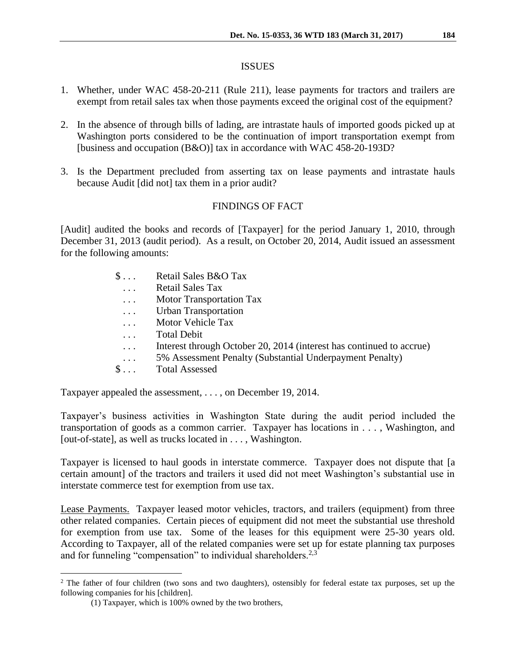#### ISSUES

- 1. Whether, under WAC 458-20-211 (Rule 211), lease payments for tractors and trailers are exempt from retail sales tax when those payments exceed the original cost of the equipment?
- 2. In the absence of through bills of lading, are intrastate hauls of imported goods picked up at Washington ports considered to be the continuation of import transportation exempt from [business and occupation (B&O)] tax in accordance with WAC 458-20-193D?
- 3. Is the Department precluded from asserting tax on lease payments and intrastate hauls because Audit [did not] tax them in a prior audit?

# FINDINGS OF FACT

[Audit] audited the books and records of [Taxpayer] for the period January 1, 2010, through December 31, 2013 (audit period). As a result, on October 20, 2014, Audit issued an assessment for the following amounts:

| $\$\ldots$            | Retail Sales B&O Tax                                                 |
|-----------------------|----------------------------------------------------------------------|
| $\dddot{\phantom{0}}$ | <b>Retail Sales Tax</b>                                              |
| $\ddots$              | <b>Motor Transportation Tax</b>                                      |
| $\ddots$              | <b>Urban Transportation</b>                                          |
| $\cdots$              | Motor Vehicle Tax                                                    |
| $\cdots$              | <b>Total Debit</b>                                                   |
| $\dddot{\phantom{0}}$ | Interest through October 20, 2014 (interest has continued to accrue) |
| $\ddots$              | 5% Assessment Penalty (Substantial Underpayment Penalty)             |
| $\mathbb{S}$          | <b>Total Assessed</b>                                                |
|                       |                                                                      |

Taxpayer appealed the assessment, . . . , on December 19, 2014.

Taxpayer's business activities in Washington State during the audit period included the transportation of goods as a common carrier. Taxpayer has locations in . . . , Washington, and [out-of-state], as well as trucks located in . . . , Washington.

Taxpayer is licensed to haul goods in interstate commerce. Taxpayer does not dispute that [a certain amount] of the tractors and trailers it used did not meet Washington's substantial use in interstate commerce test for exemption from use tax.

Lease Payments. Taxpayer leased motor vehicles, tractors, and trailers (equipment) from three other related companies. Certain pieces of equipment did not meet the substantial use threshold for exemption from use tax. Some of the leases for this equipment were 25-30 years old. According to Taxpayer, all of the related companies were set up for estate planning tax purposes and for funneling "compensation" to individual shareholders. $2.3$ 

<sup>&</sup>lt;sup>2</sup> The father of four children (two sons and two daughters), ostensibly for federal estate tax purposes, set up the following companies for his [children].

<sup>(1)</sup> Taxpayer, which is 100% owned by the two brothers,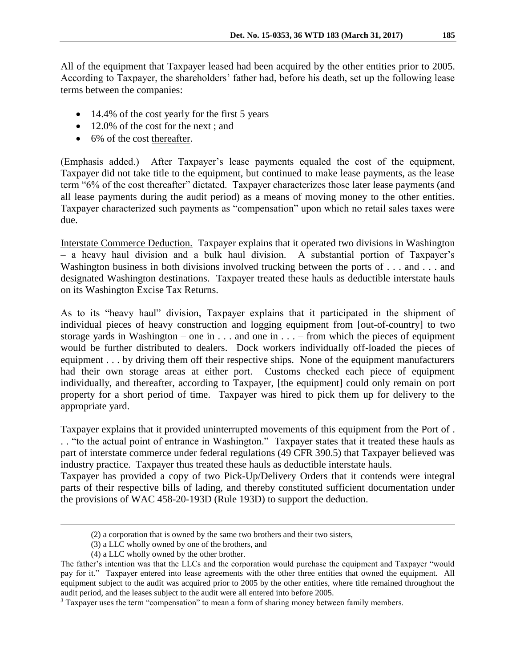All of the equipment that Taxpayer leased had been acquired by the other entities prior to 2005. According to Taxpayer, the shareholders' father had, before his death, set up the following lease terms between the companies:

- 14.4% of the cost yearly for the first 5 years
- 12.0% of the cost for the next ; and
- 6% of the cost thereafter.

(Emphasis added.) After Taxpayer's lease payments equaled the cost of the equipment, Taxpayer did not take title to the equipment, but continued to make lease payments, as the lease term "6% of the cost thereafter" dictated. Taxpayer characterizes those later lease payments (and all lease payments during the audit period) as a means of moving money to the other entities. Taxpayer characterized such payments as "compensation" upon which no retail sales taxes were due.

Interstate Commerce Deduction. Taxpayer explains that it operated two divisions in Washington – a heavy haul division and a bulk haul division. A substantial portion of Taxpayer's Washington business in both divisions involved trucking between the ports of . . . and . . . and designated Washington destinations. Taxpayer treated these hauls as deductible interstate hauls on its Washington Excise Tax Returns.

As to its "heavy haul" division, Taxpayer explains that it participated in the shipment of individual pieces of heavy construction and logging equipment from [out-of-country] to two storage yards in Washington – one in  $\dots$  and one in  $\dots$  – from which the pieces of equipment would be further distributed to dealers. Dock workers individually off-loaded the pieces of equipment . . . by driving them off their respective ships. None of the equipment manufacturers had their own storage areas at either port. Customs checked each piece of equipment individually, and thereafter, according to Taxpayer, [the equipment] could only remain on port property for a short period of time. Taxpayer was hired to pick them up for delivery to the appropriate yard.

Taxpayer explains that it provided uninterrupted movements of this equipment from the Port of . . . "to the actual point of entrance in Washington." Taxpayer states that it treated these hauls as part of interstate commerce under federal regulations (49 CFR 390.5) that Taxpayer believed was industry practice. Taxpayer thus treated these hauls as deductible interstate hauls.

Taxpayer has provided a copy of two Pick-Up/Delivery Orders that it contends were integral parts of their respective bills of lading, and thereby constituted sufficient documentation under the provisions of WAC 458-20-193D (Rule 193D) to support the deduction.

<sup>(2)</sup> a corporation that is owned by the same two brothers and their two sisters,

<sup>(3)</sup> a LLC wholly owned by one of the brothers, and

<sup>(4)</sup> a LLC wholly owned by the other brother.

The father's intention was that the LLCs and the corporation would purchase the equipment and Taxpayer "would pay for it." Taxpayer entered into lease agreements with the other three entities that owned the equipment. All equipment subject to the audit was acquired prior to 2005 by the other entities, where title remained throughout the audit period, and the leases subject to the audit were all entered into before 2005.

<sup>&</sup>lt;sup>3</sup> Taxpayer uses the term "compensation" to mean a form of sharing money between family members.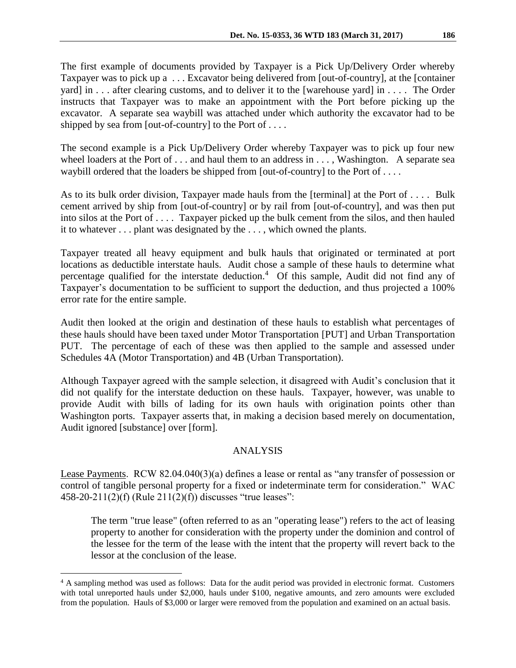The first example of documents provided by Taxpayer is a Pick Up/Delivery Order whereby Taxpayer was to pick up a . . . Excavator being delivered from [out-of-country], at the [container yard] in . . . after clearing customs, and to deliver it to the [warehouse yard] in . . . . The Order instructs that Taxpayer was to make an appointment with the Port before picking up the excavator. A separate sea waybill was attached under which authority the excavator had to be shipped by sea from [out-of-country] to the Port of  $\dots$ .

The second example is a Pick Up/Delivery Order whereby Taxpayer was to pick up four new wheel loaders at the Port of . . . and haul them to an address in . . . , Washington. A separate sea waybill ordered that the loaders be shipped from [out-of-country] to the Port of . . . .

As to its bulk order division, Taxpayer made hauls from the [terminal] at the Port of . . . . Bulk cement arrived by ship from [out-of-country] or by rail from [out-of-country], and was then put into silos at the Port of . . . . Taxpayer picked up the bulk cement from the silos, and then hauled it to whatever . . . plant was designated by the . . . , which owned the plants.

Taxpayer treated all heavy equipment and bulk hauls that originated or terminated at port locations as deductible interstate hauls. Audit chose a sample of these hauls to determine what percentage qualified for the interstate deduction.<sup>4</sup> Of this sample, Audit did not find any of Taxpayer's documentation to be sufficient to support the deduction, and thus projected a 100% error rate for the entire sample.

Audit then looked at the origin and destination of these hauls to establish what percentages of these hauls should have been taxed under Motor Transportation [PUT] and Urban Transportation PUT. The percentage of each of these was then applied to the sample and assessed under Schedules 4A (Motor Transportation) and 4B (Urban Transportation).

Although Taxpayer agreed with the sample selection, it disagreed with Audit's conclusion that it did not qualify for the interstate deduction on these hauls. Taxpayer, however, was unable to provide Audit with bills of lading for its own hauls with origination points other than Washington ports. Taxpayer asserts that, in making a decision based merely on documentation, Audit ignored [substance] over [form].

## ANALYSIS

Lease Payments. RCW 82.04.040(3)(a) defines a lease or rental as "any transfer of possession or control of tangible personal property for a fixed or indeterminate term for consideration." WAC 458-20-211(2)(f) (Rule 211(2)(f)) discusses "true leases":

The term "true lease" (often referred to as an "operating lease") refers to the act of leasing property to another for consideration with the property under the dominion and control of the lessee for the term of the lease with the intent that the property will revert back to the lessor at the conclusion of the lease.

<sup>4</sup> A sampling method was used as follows: Data for the audit period was provided in electronic format. Customers with total unreported hauls under \$2,000, hauls under \$100, negative amounts, and zero amounts were excluded from the population. Hauls of \$3,000 or larger were removed from the population and examined on an actual basis.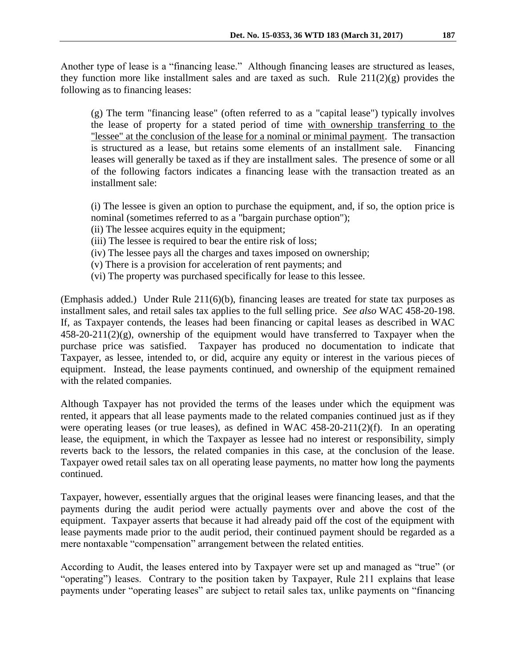Another type of lease is a "financing lease." Although financing leases are structured as leases, they function more like installment sales and are taxed as such. Rule  $211(2)(g)$  provides the following as to financing leases:

(g) The term "financing lease" (often referred to as a "capital lease") typically involves the lease of property for a stated period of time with ownership transferring to the "lessee" at the conclusion of the lease for a nominal or minimal payment. The transaction is structured as a lease, but retains some elements of an installment sale. Financing leases will generally be taxed as if they are installment sales. The presence of some or all of the following factors indicates a financing lease with the transaction treated as an installment sale:

(i) The lessee is given an option to purchase the equipment, and, if so, the option price is nominal (sometimes referred to as a "bargain purchase option");

- (ii) The lessee acquires equity in the equipment;
- (iii) The lessee is required to bear the entire risk of loss;
- (iv) The lessee pays all the charges and taxes imposed on ownership;
- (v) There is a provision for acceleration of rent payments; and
- (vi) The property was purchased specifically for lease to this lessee.

(Emphasis added.) Under Rule 211(6)(b), financing leases are treated for state tax purposes as installment sales, and retail sales tax applies to the full selling price. *See also* WAC 458-20-198. If, as Taxpayer contends, the leases had been financing or capital leases as described in WAC  $458-20-211(2)(g)$ , ownership of the equipment would have transferred to Taxpayer when the purchase price was satisfied. Taxpayer has produced no documentation to indicate that Taxpayer, as lessee, intended to, or did, acquire any equity or interest in the various pieces of equipment. Instead, the lease payments continued, and ownership of the equipment remained with the related companies.

Although Taxpayer has not provided the terms of the leases under which the equipment was rented, it appears that all lease payments made to the related companies continued just as if they were operating leases (or true leases), as defined in WAC 458-20-211(2)(f). In an operating lease, the equipment, in which the Taxpayer as lessee had no interest or responsibility, simply reverts back to the lessors, the related companies in this case, at the conclusion of the lease. Taxpayer owed retail sales tax on all operating lease payments, no matter how long the payments continued.

Taxpayer, however, essentially argues that the original leases were financing leases, and that the payments during the audit period were actually payments over and above the cost of the equipment. Taxpayer asserts that because it had already paid off the cost of the equipment with lease payments made prior to the audit period, their continued payment should be regarded as a mere nontaxable "compensation" arrangement between the related entities.

According to Audit, the leases entered into by Taxpayer were set up and managed as "true" (or "operating") leases. Contrary to the position taken by Taxpayer, Rule 211 explains that lease payments under "operating leases" are subject to retail sales tax, unlike payments on "financing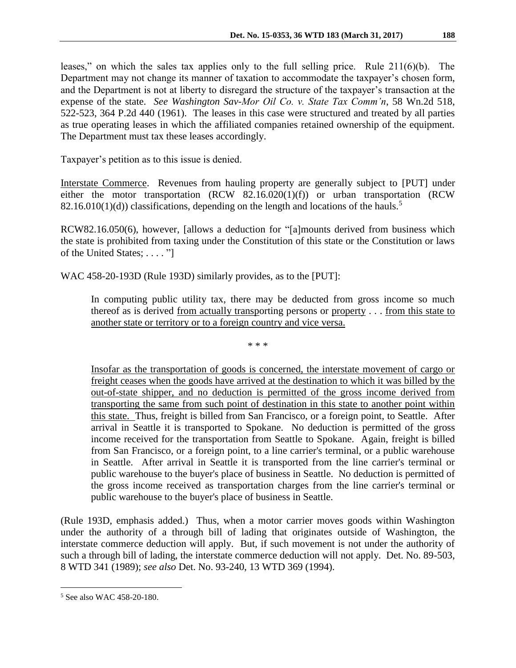leases," on which the sales tax applies only to the full selling price. Rule 211(6)(b). The Department may not change its manner of taxation to accommodate the taxpayer's chosen form, and the Department is not at liberty to disregard the structure of the taxpayer's transaction at the expense of the state. *See Washington Sav-Mor Oil Co. v. State Tax Comm'n*, 58 Wn.2d 518, 522-523, 364 P.2d 440 (1961). The leases in this case were structured and treated by all parties as true operating leases in which the affiliated companies retained ownership of the equipment. The Department must tax these leases accordingly.

Taxpayer's petition as to this issue is denied.

Interstate Commerce. Revenues from hauling property are generally subject to [PUT] under either the motor transportation (RCW 82.16.020(1)(f)) or urban transportation (RCW 82.16.010(1)(d)) classifications, depending on the length and locations of the hauls.<sup>5</sup>

RCW82.16.050(6), however, [allows a deduction for "[a]mounts derived from business which the state is prohibited from taxing under the Constitution of this state or the Constitution or laws of the United States; . . . . "]

WAC 458-20-193D (Rule 193D) similarly provides, as to the [PUT]:

In computing public utility tax, there may be deducted from gross income so much thereof as is derived from actually transporting persons or property . . . from this state to another state or territory or to a foreign country and vice versa.

\* \* \*

Insofar as the transportation of goods is concerned, the interstate movement of cargo or freight ceases when the goods have arrived at the destination to which it was billed by the out-of-state shipper, and no deduction is permitted of the gross income derived from transporting the same from such point of destination in this state to another point within this state. Thus, freight is billed from San Francisco, or a foreign point, to Seattle. After arrival in Seattle it is transported to Spokane. No deduction is permitted of the gross income received for the transportation from Seattle to Spokane. Again, freight is billed from San Francisco, or a foreign point, to a line carrier's terminal, or a public warehouse in Seattle. After arrival in Seattle it is transported from the line carrier's terminal or public warehouse to the buyer's place of business in Seattle. No deduction is permitted of the gross income received as transportation charges from the line carrier's terminal or public warehouse to the buyer's place of business in Seattle.

(Rule 193D, emphasis added.) Thus, when a motor carrier moves goods within Washington under the authority of a through bill of lading that originates outside of Washington, the interstate commerce deduction will apply. But, if such movement is not under the authority of such a through bill of lading, the interstate commerce deduction will not apply. Det. No. 89-503, 8 WTD 341 (1989); *see also* Det. No. 93-240, 13 WTD 369 (1994).

<sup>5</sup> See also WAC 458-20-180.